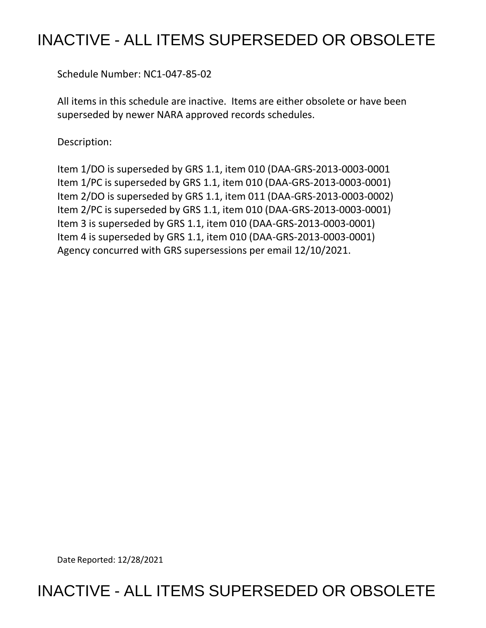## INACTIVE - ALL ITEMS SUPERSEDED OR OBSOLETE

Schedule Number: NC1-047-85-02

 All items in this schedule are inactive. Items are either obsolete or have been superseded by newer NARA approved records schedules.

Description:

 Item 1/DO is superseded by GRS 1.1, item 010 (DAA-GRS-2013-0003-0001 Item 1/PC is superseded by GRS 1.1, item 010 (DAA-GRS-2013-0003-0001) Item 2/DO is superseded by GRS 1.1, item 011 (DAA-GRS-2013-0003-0002) Item 2/PC is superseded by GRS 1.1, item 010 (DAA-GRS-2013-0003-0001) Item 3 is superseded by GRS 1.1, item 010 (DAA-GRS-2013-0003-0001) Item 4 is superseded by GRS 1.1, item 010 (DAA-GRS-2013-0003-0001) Agency concurred with GRS supersessions per email 12/10/2021.

Date Reported: 12/28/2021

INACTIVE - ALL ITEMS SUPERSEDED OR OBSOLETE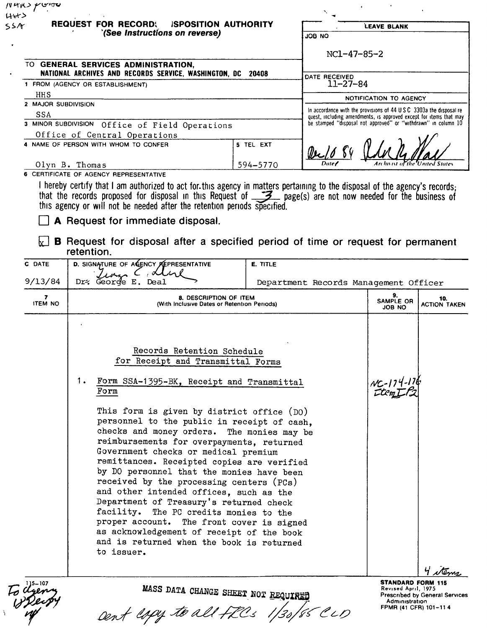| 55A                 | <b>REQUEST FOR RECORD:</b><br><b>ISPOSITION AUTHORITY</b><br>'(See Instructions on reverse)                                                                                                                                                                                                                                                                                                                                                                                                                                                                                                                                                                                                                                                                                            |           | JOB NO                                                                                                                               | LEAVE BLANK                                                                                                |                            |
|---------------------|----------------------------------------------------------------------------------------------------------------------------------------------------------------------------------------------------------------------------------------------------------------------------------------------------------------------------------------------------------------------------------------------------------------------------------------------------------------------------------------------------------------------------------------------------------------------------------------------------------------------------------------------------------------------------------------------------------------------------------------------------------------------------------------|-----------|--------------------------------------------------------------------------------------------------------------------------------------|------------------------------------------------------------------------------------------------------------|----------------------------|
|                     | TO GENERAL SERVICES ADMINISTRATION,<br>NATIONAL ARCHIVES AND RECORDS SERVICE, WASHINGTON, DC 20408                                                                                                                                                                                                                                                                                                                                                                                                                                                                                                                                                                                                                                                                                     |           | NC1-47-85-2                                                                                                                          |                                                                                                            |                            |
|                     | 1 FROM (AGENCY OR ESTABLISHMENT)                                                                                                                                                                                                                                                                                                                                                                                                                                                                                                                                                                                                                                                                                                                                                       |           | DATE RECEIVED<br>$11 - 27 - 84$                                                                                                      |                                                                                                            |                            |
| HHS                 |                                                                                                                                                                                                                                                                                                                                                                                                                                                                                                                                                                                                                                                                                                                                                                                        |           |                                                                                                                                      | NOTIFICATION TO AGENCY                                                                                     |                            |
| 2 MAJOR SUBDIVISION |                                                                                                                                                                                                                                                                                                                                                                                                                                                                                                                                                                                                                                                                                                                                                                                        |           | In accordance with the provisions of 44 U S C 3303a the disposal re-                                                                 |                                                                                                            |                            |
| <b>SSA</b>          | 3 MINOR SUBDIVISION Office of Field Operations                                                                                                                                                                                                                                                                                                                                                                                                                                                                                                                                                                                                                                                                                                                                         |           | quest, including amendments, is approved except for items that may<br>be stamped "disposal not approved" or "withdrawn" in column 10 |                                                                                                            |                            |
|                     | Office of Central Operations                                                                                                                                                                                                                                                                                                                                                                                                                                                                                                                                                                                                                                                                                                                                                           |           |                                                                                                                                      |                                                                                                            |                            |
|                     | 4 NAME OF PERSON WITH WHOM TO CONFER                                                                                                                                                                                                                                                                                                                                                                                                                                                                                                                                                                                                                                                                                                                                                   | 5 TEL EXT |                                                                                                                                      |                                                                                                            |                            |
|                     | Olyn B. Thomas                                                                                                                                                                                                                                                                                                                                                                                                                                                                                                                                                                                                                                                                                                                                                                         | 594-5770  |                                                                                                                                      |                                                                                                            |                            |
|                     | this agency or will not be needed after the retention periods specified.<br>A Request for immediate disposal.<br><b>B</b> Request for disposal after a specified period of time or request for permanent<br>retention.                                                                                                                                                                                                                                                                                                                                                                                                                                                                                                                                                                 |           |                                                                                                                                      |                                                                                                            |                            |
| <b>C DATE</b>       | D. SIGNATURE OF AGENCY REPRESENTATIVE                                                                                                                                                                                                                                                                                                                                                                                                                                                                                                                                                                                                                                                                                                                                                  | E. TITLE  |                                                                                                                                      |                                                                                                            |                            |
| 9/13/84             | $\mathcal{A}$<br>Dr: George E. Deal                                                                                                                                                                                                                                                                                                                                                                                                                                                                                                                                                                                                                                                                                                                                                    |           | Department Records Management Officer                                                                                                |                                                                                                            |                            |
| 7<br><b>ITEM NO</b> | 8. DESCRIPTION OF ITEM<br>(With Inclusive Dates or Retention Periods)                                                                                                                                                                                                                                                                                                                                                                                                                                                                                                                                                                                                                                                                                                                  |           |                                                                                                                                      | 9.<br>SAMPLE OR<br><b>JOB NO</b>                                                                           | 10.<br><b>ACTION TAKEN</b> |
|                     | Records Retention Schedule<br>for Receipt and Transmittal Forms<br>1.<br>Form SSA-1395-BK, Receipt and Transmittal<br>Form<br>This form is given by district office (DO)<br>personnel to the public in receipt of cash,<br>checks and money orders. The monies may be<br>reimbursements for overpayments, returned<br>Government checks or medical premium<br>remittances. Receipted copies are verified<br>by DO personnel that the monies have been<br>received by the processing centers (PCs)<br>and other intended offices, such as the<br>Department of Treasury's returned check<br>facility. The PC credits monies to the<br>proper account. The front cover is signed<br>as acknowledgement of receipt of the book<br>and is returned when the book is returned<br>to issuer. |           |                                                                                                                                      | $N_c - 174 - 176$                                                                                          |                            |
|                     | MASS DATA CHANGE SHEET NOT REQUIRED                                                                                                                                                                                                                                                                                                                                                                                                                                                                                                                                                                                                                                                                                                                                                    |           |                                                                                                                                      | <b>STANDARD FORM 115</b><br>Revised April, 1975<br><b>Prescribed by General Services</b><br>Administration | 4 stems                    |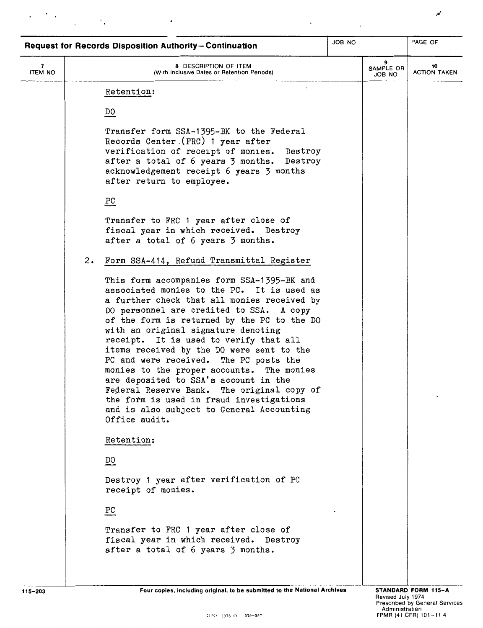| <b>Request for Records Disposition Authority-Continuation</b> |    |                                                                                                                                                                                                                                                                                                                                                                                                                                                                                                                                                                                                                                                                                                   |        |                          |                           |
|---------------------------------------------------------------|----|---------------------------------------------------------------------------------------------------------------------------------------------------------------------------------------------------------------------------------------------------------------------------------------------------------------------------------------------------------------------------------------------------------------------------------------------------------------------------------------------------------------------------------------------------------------------------------------------------------------------------------------------------------------------------------------------------|--------|--------------------------|---------------------------|
| 7<br><b>ITEM NO</b>                                           |    | 8 DESCRIPTION OF ITEM<br>(With Inclusive Dates or Retention Periods)                                                                                                                                                                                                                                                                                                                                                                                                                                                                                                                                                                                                                              |        | 9<br>SAMPLE OR<br>JOB NO | 10<br><b>ACTION TAKEN</b> |
|                                                               | 2. | Retention:<br>DO<br>Transfer form SSA-1395-BK to the Federal<br>Records Center (FRC) 1 year after<br>verification of receipt of monies. Destroy<br>after a total of 6 years 3 months. Destroy<br>acknowledgement receipt 6 years 3 months<br>after return to employee.<br>$_{\rm PC}$<br>Transfer to FRC 1 year after close of<br>fiscal year in which received. Destroy<br>after a total of 6 years 3 months.<br>Form SSA-414, Refund Transmittal Register<br>This form accompanies form SSA-1395-BK and<br>associated monies to the PC. It is used as<br>a further check that all monies received by<br>DO personnel are credited to SSA. A copy<br>of the form is returned by the PC to the DO | JOB NO |                          | PAGE OF                   |
|                                                               |    | with an original signature denoting<br>receipt. It is used to verify that all<br>items received by the DO were sent to the<br>PC and were received. The PC posts the<br>monies to the proper accounts. The monies<br>are deposited to SSA's account in the<br>Federal Reserve Bank. The original copy of<br>the form is used in fraud investigations<br>and is also subject to General Accounting                                                                                                                                                                                                                                                                                                 |        |                          |                           |
|                                                               |    | Office audit.<br>Retention:                                                                                                                                                                                                                                                                                                                                                                                                                                                                                                                                                                                                                                                                       |        |                          |                           |
|                                                               |    | DO                                                                                                                                                                                                                                                                                                                                                                                                                                                                                                                                                                                                                                                                                                |        |                          |                           |
|                                                               |    | Destroy 1 year after verification of PC<br>receipt of monies.                                                                                                                                                                                                                                                                                                                                                                                                                                                                                                                                                                                                                                     |        |                          |                           |
|                                                               |    | $\underline{PC}$                                                                                                                                                                                                                                                                                                                                                                                                                                                                                                                                                                                                                                                                                  |        |                          |                           |
|                                                               |    | Transfer to FRC 1 year after close of<br>fiscal year in which received. Destroy<br>after a total of 6 years 3 months.                                                                                                                                                                                                                                                                                                                                                                                                                                                                                                                                                                             |        |                          |                           |
|                                                               |    |                                                                                                                                                                                                                                                                                                                                                                                                                                                                                                                                                                                                                                                                                                   |        |                          |                           |

 $\hat{\boldsymbol{\epsilon}}$ 

 $_\mathrm{r}$ 

 $\label{eq:2} \frac{1}{\gamma} \frac{1}{\gamma} \frac{d\gamma}{d\gamma} \frac{d\gamma}{d\gamma} = \frac{1}{\gamma} \frac{d\gamma}{d\gamma}$ 

 $\pmb{\cdot}$ 

Four copies, including original, to be submitted to the National Archives